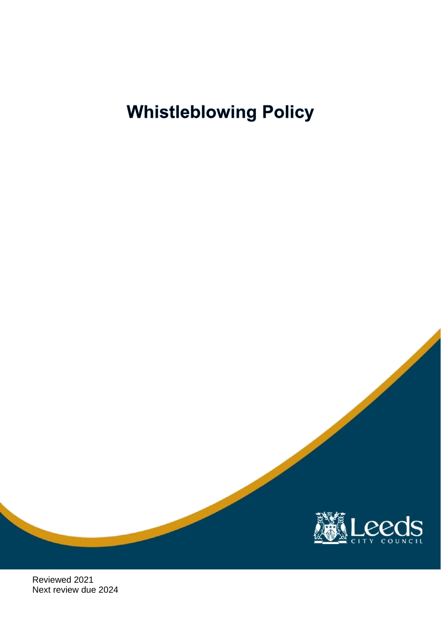

Reviewed 2021 Next review due 2024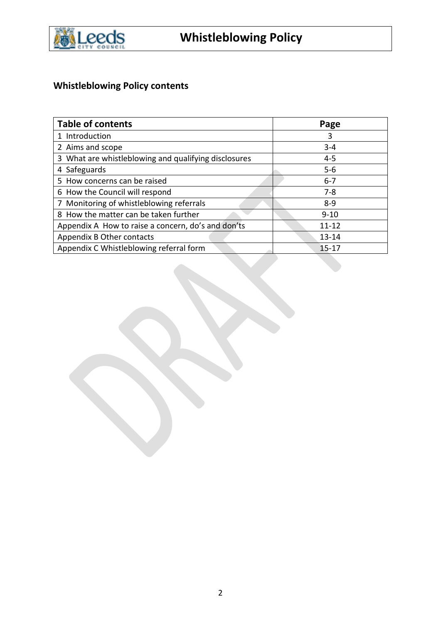

# **Whistleblowing Policy contents**

| <b>Table of contents</b>                             | Page      |
|------------------------------------------------------|-----------|
| 1 Introduction                                       | 3         |
| 2 Aims and scope                                     | $3 - 4$   |
| 3 What are whistleblowing and qualifying disclosures | $4 - 5$   |
| 4 Safeguards                                         | $5 - 6$   |
| 5 How concerns can be raised                         | $6 - 7$   |
| 6 How the Council will respond                       | $7 - 8$   |
| 7 Monitoring of whistleblowing referrals             | $8 - 9$   |
| 8 How the matter can be taken further                | $9 - 10$  |
| Appendix A How to raise a concern, do's and don'ts   | $11 - 12$ |
| Appendix B Other contacts                            | $13 - 14$ |
| Appendix C Whistleblowing referral form              | $15 - 17$ |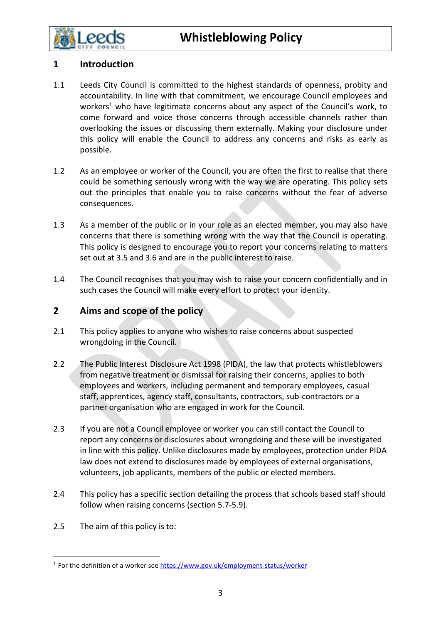

# **1 Introduction**

- 1.1 Leeds City Council is committed to the highest standards of openness, probity and accountability. In line with that commitment, we encourage Council employees and workers<sup>1</sup> who have legitimate concerns about any aspect of the Council's work, to come forward and voice those concerns through accessible channels rather than overlooking the issues or discussing them externally. Making your disclosure under this policy will enable the Council to address any concerns and risks as early as possible.
- 1.2 As an employee or worker of the Council, you are often the first to realise that there could be something seriously wrong with the way we are operating. This policy sets out the principles that enable you to raise concerns without the fear of adverse consequences.
- 1.3 As a member of the public or in your role as an elected member, you may also have concerns that there is something wrong with the way that the Council is operating. This policy is designed to encourage you to report your concerns relating to matters set out at 3.5 and 3.6 and are in the public interest to raise.
- 1.4 The Council recognises that you may wish to raise your concern confidentially and in such cases the Council will make every effort to protect your identity.

### **2 Aims and scope of the policy**

- 2.1 This policy applies to anyone who wishes to raise concerns about suspected wrongdoing in the Council.
- 2.2 The Public Interest Disclosure Act 1998 (PIDA), the law that protects whistleblowers from negative treatment or dismissal for raising their concerns, applies to both employees and workers, including permanent and temporary employees, casual staff, apprentices, agency staff, consultants, contractors, sub-contractors or a partner organisation who are engaged in work for the Council.
- 2.3 If you are not a Council employee or worker you can still contact the Council to report any concerns or disclosures about wrongdoing and these will be investigated in line with this policy. Unlike disclosures made by employees, protection under PIDA law does not extend to disclosures made by employees of external organisations, volunteers, job applicants, members of the public or elected members.
- 2.4 This policy has a specific section detailing the process that schools based staff should follow when raising concerns (section 5.7-5.9).
- 2.5 The aim of this policy is to:

<sup>&</sup>lt;sup>1</sup> For the definition of a worker se[e https://www.gov.uk/employment-status/worker](https://www.gov.uk/employment-status/worker)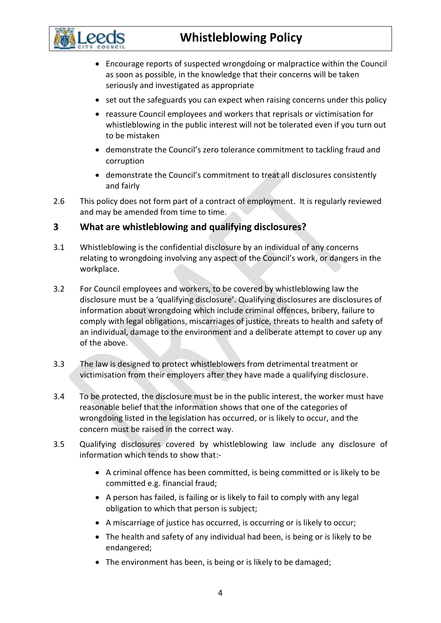

- Encourage reports of suspected wrongdoing or malpractice within the Council as soon as possible, in the knowledge that their concerns will be taken seriously and investigated as appropriate
- set out the safeguards you can expect when raising concerns under this policy
- reassure Council employees and workers that reprisals or victimisation for whistleblowing in the public interest will not be tolerated even if you turn out to be mistaken
- demonstrate the Council's zero tolerance commitment to tackling fraud and corruption
- demonstrate the Council's commitment to treat all disclosures consistently and fairly
- 2.6 This policy does not form part of a contract of employment. It is regularly reviewed and may be amended from time to time.

#### **3 What are whistleblowing and qualifying disclosures?**

- 3.1 Whistleblowing is the confidential disclosure by an individual of any concerns relating to wrongdoing involving any aspect of the Council's work, or dangers in the workplace.
- 3.2 For Council employees and workers, to be covered by whistleblowing law the disclosure must be a 'qualifying disclosure'. Qualifying disclosures are disclosures of information about wrongdoing which include criminal offences, bribery, failure to comply with legal obligations, miscarriages of justice, threats to health and safety of an individual, damage to the environment and a deliberate attempt to cover up any of the above.
- 3.3 The law is designed to protect whistleblowers from detrimental treatment or victimisation from their employers after they have made a qualifying disclosure.
- 3.4 To be protected, the disclosure must be in the public interest, the worker must have reasonable belief that the information shows that one of the categories of wrongdoing listed in the legislation has occurred, or is likely to occur, and the concern must be raised in the correct way.
- 3.5 Qualifying disclosures covered by whistleblowing law include any disclosure of information which tends to show that:-
	- A criminal offence has been committed, is being committed or is likely to be committed e.g. financial fraud;
	- A person has failed, is failing or is likely to fail to comply with any legal obligation to which that person is subject;
	- A miscarriage of justice has occurred, is occurring or is likely to occur;
	- The health and safety of any individual had been, is being or is likely to be endangered;
	- The environment has been, is being or is likely to be damaged;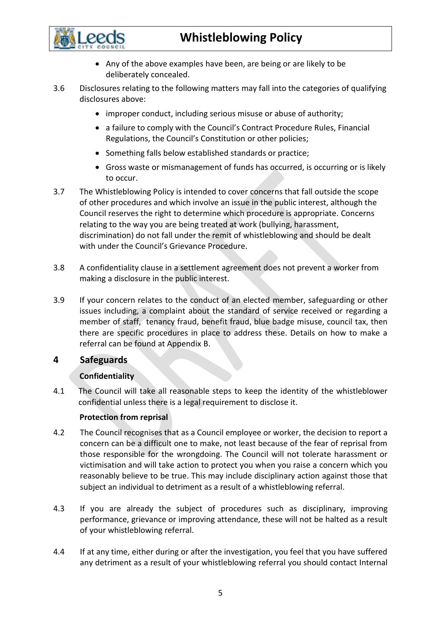

- Any of the above examples have been, are being or are likely to be deliberately concealed.
- 3.6 Disclosures relating to the following matters may fall into the categories of qualifying disclosures above:
	- improper conduct, including serious misuse or abuse of authority;
	- a failure to comply with the Council's Contract Procedure Rules, Financial Regulations, the Council's Constitution or other policies;
	- Something falls below established standards or practice;
	- Gross waste or mismanagement of funds has occurred, is occurring or is likely to occur.
- 3.7 The Whistleblowing Policy is intended to cover concerns that fall outside the scope of other procedures and which involve an issue in the public interest, although the Council reserves the right to determine which procedure is appropriate. Concerns relating to the way you are being treated at work (bullying, harassment, discrimination) do not fall under the remit of whistleblowing and should be dealt with under the Council's Grievance Procedure.
- 3.8 A confidentiality clause in a settlement agreement does not prevent a worker from making a disclosure in the public interest.
- 3.9 If your concern relates to the conduct of an elected member, safeguarding or other issues including, a complaint about the standard of service received or regarding a member of staff, tenancy fraud, benefit fraud, blue badge misuse, council tax, then there are specific procedures in place to address these. Details on how to make a referral can be found at Appendix B.

### **4 Safeguards**

### **Confidentiality**

4.1 The Council will take all reasonable steps to keep the identity of the whistleblower confidential unless there is a legal requirement to disclose it.

#### **Protection from reprisal**

- 4.2 The Council recognises that as a Council employee or worker, the decision to report a concern can be a difficult one to make, not least because of the fear of reprisal from those responsible for the wrongdoing. The Council will not tolerate harassment or victimisation and will take action to protect you when you raise a concern which you reasonably believe to be true. This may include disciplinary action against those that subject an individual to detriment as a result of a whistleblowing referral.
- 4.3 If you are already the subject of procedures such as disciplinary, improving performance, grievance or improving attendance, these will not be halted as a result of your whistleblowing referral.
- 4.4 If at any time, either during or after the investigation, you feel that you have suffered any detriment as a result of your whistleblowing referral you should contact Internal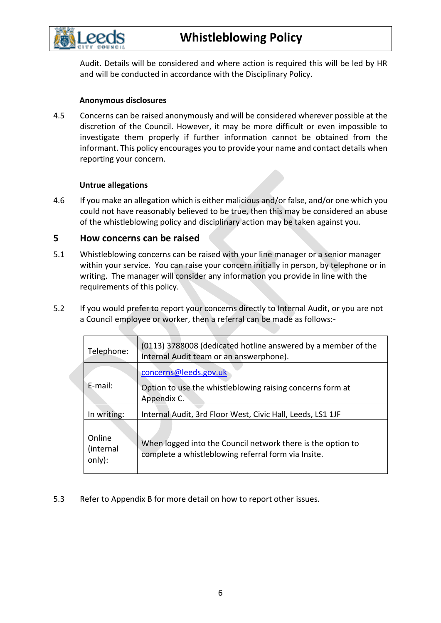

Audit. Details will be considered and where action is required this will be led by HR and will be conducted in accordance with the Disciplinary Policy.

#### **Anonymous disclosures**

4.5 Concerns can be raised anonymously and will be considered wherever possible at the discretion of the Council. However, it may be more difficult or even impossible to investigate them properly if further information cannot be obtained from the informant. This policy encourages you to provide your name and contact details when reporting your concern.

#### **Untrue allegations**

4.6 If you make an allegation which is either malicious and/or false, and/or one which you could not have reasonably believed to be true, then this may be considered an abuse of the whistleblowing policy and disciplinary action may be taken against you.

#### **5 How concerns can be raised**

- 5.1 Whistleblowing concerns can be raised with your line manager or a senior manager within your service. You can raise your concern initially in person, by telephone or in writing. The manager will consider any information you provide in line with the requirements of this policy.
- 5.2 If you would prefer to report your concerns directly to Internal Audit, or you are not a Council employee or worker, then a referral can be made as follows:-

| Telephone:                    | (0113) 3788008 (dedicated hotline answered by a member of the<br>Internal Audit team or an answerphone).           |  |
|-------------------------------|--------------------------------------------------------------------------------------------------------------------|--|
|                               | concerns@leeds.gov.uk                                                                                              |  |
| E-mail:                       | Option to use the whistleblowing raising concerns form at<br>Appendix C.                                           |  |
| In writing:                   | Internal Audit, 3rd Floor West, Civic Hall, Leeds, LS1 1JF                                                         |  |
| Online<br>(internal<br>only): | When logged into the Council network there is the option to<br>complete a whistleblowing referral form via Insite. |  |

5.3 Refer to Appendix B for more detail on how to report other issues.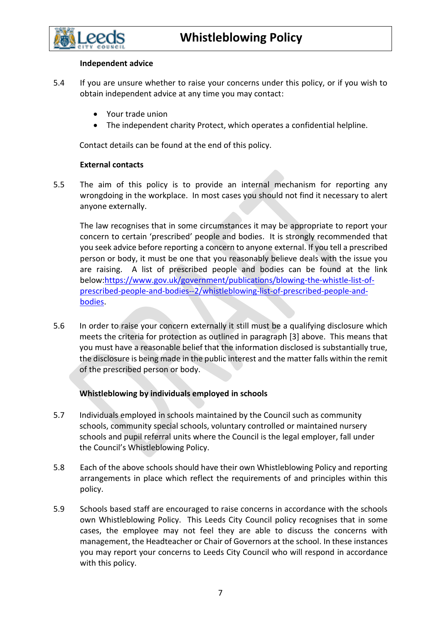

#### **Independent advice**

- 5.4 If you are unsure whether to raise your concerns under this policy, or if you wish to obtain independent advice at any time you may contact:
	- Your trade union
	- The independent charity Protect, which operates a confidential helpline.

Contact details can be found at the end of this policy.

#### **External contacts**

5.5 The aim of this policy is to provide an internal mechanism for reporting any wrongdoing in the workplace. In most cases you should not find it necessary to alert anyone externally.

The law recognises that in some circumstances it may be appropriate to report your concern to certain 'prescribed' people and bodies. It is strongly recommended that you seek advice before reporting a concern to anyone external. If you tell a prescribed person or body, it must be one that you reasonably believe deals with the issue you are raising. A list of prescribed people and bodies can be found at the link below[:https://www.gov.uk/government/publications/blowing-the-whistle-list-of](https://www.gov.uk/government/publications/blowing-the-whistle-list-of-prescribed-people-and-bodies--2/whistleblowing-list-of-prescribed-people-and-bodies)[prescribed-people-and-bodies--2/whistleblowing-list-of-prescribed-people-and](https://www.gov.uk/government/publications/blowing-the-whistle-list-of-prescribed-people-and-bodies--2/whistleblowing-list-of-prescribed-people-and-bodies)[bodies.](https://www.gov.uk/government/publications/blowing-the-whistle-list-of-prescribed-people-and-bodies--2/whistleblowing-list-of-prescribed-people-and-bodies)

5.6 In order to raise your concern externally it still must be a qualifying disclosure which meets the criteria for protection as outlined in paragraph [3] above. This means that you must have a reasonable belief that the information disclosed is substantially true, the disclosure is being made in the public interest and the matter falls within the remit of the prescribed person or body.

#### **Whistleblowing by individuals employed in schools**

- 5.7 Individuals employed in schools maintained by the Council such as community schools, community special schools, voluntary controlled or maintained nursery schools and pupil referral units where the Council is the legal employer, fall under the Council's Whistleblowing Policy.
- 5.8 Each of the above schools should have their own Whistleblowing Policy and reporting arrangements in place which reflect the requirements of and principles within this policy.
- 5.9 Schools based staff are encouraged to raise concerns in accordance with the schools own Whistleblowing Policy. This Leeds City Council policy recognises that in some cases, the employee may not feel they are able to discuss the concerns with management, the Headteacher or Chair of Governors at the school. In these instances you may report your concerns to Leeds City Council who will respond in accordance with this policy.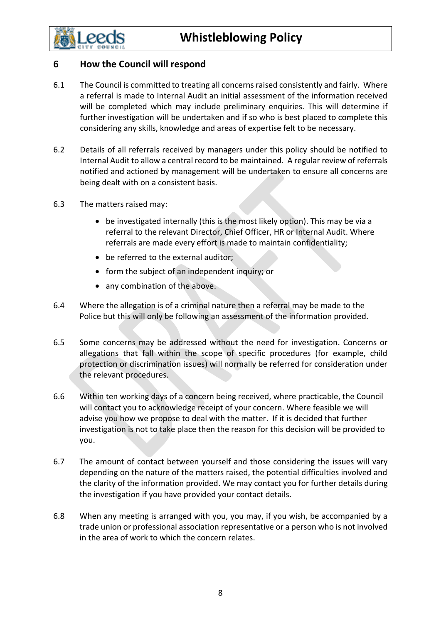

- 6.1 The Council is committed to treating all concerns raised consistently and fairly. Where a referral is made to Internal Audit an initial assessment of the information received will be completed which may include preliminary enquiries. This will determine if further investigation will be undertaken and if so who is best placed to complete this considering any skills, knowledge and areas of expertise felt to be necessary.
- 6.2 Details of all referrals received by managers under this policy should be notified to Internal Audit to allow a central record to be maintained. A regular review of referrals notified and actioned by management will be undertaken to ensure all concerns are being dealt with on a consistent basis.
- 6.3 The matters raised may:
	- be investigated internally (this is the most likely option). This may be via a referral to the relevant Director, Chief Officer, HR or Internal Audit. Where referrals are made every effort is made to maintain confidentiality;
	- be referred to the external auditor;
	- form the subject of an independent inquiry; or
	- any combination of the above.
- 6.4 Where the allegation is of a criminal nature then a referral may be made to the Police but this will only be following an assessment of the information provided.
- 6.5 Some concerns may be addressed without the need for investigation. Concerns or allegations that fall within the scope of specific procedures (for example, child protection or discrimination issues) will normally be referred for consideration under the relevant procedures.
- 6.6 Within ten working days of a concern being received, where practicable, the Council will contact you to acknowledge receipt of your concern. Where feasible we will advise you how we propose to deal with the matter. If it is decided that further investigation is not to take place then the reason for this decision will be provided to you.
- 6.7 The amount of contact between yourself and those considering the issues will vary depending on the nature of the matters raised, the potential difficulties involved and the clarity of the information provided. We may contact you for further details during the investigation if you have provided your contact details.
- 6.8 When any meeting is arranged with you, you may, if you wish, be accompanied by a trade union or professional association representative or a person who is not involved in the area of work to which the concern relates.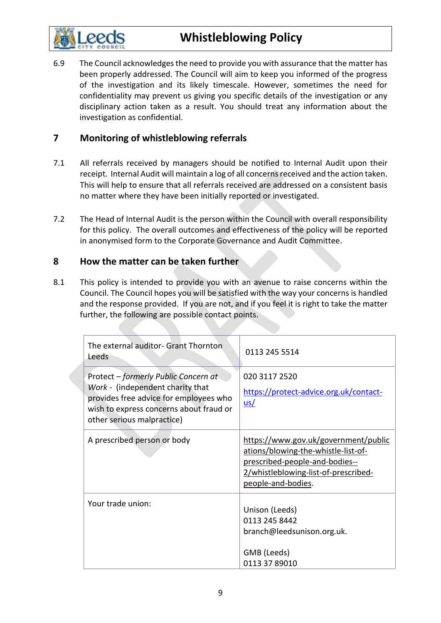

6.9 The Council acknowledges the need to provide you with assurance that the matter has been properly addressed. The Council will aim to keep you informed of the progress of the investigation and its likely timescale. However, sometimes the need for confidentiality may prevent us giving you specific details of the investigation or any disciplinary action taken as a result. You should treat any information about the investigation as confidential.

# **7 Monitoring of whistleblowing referrals**

- 7.1 All referrals received by managers should be notified to Internal Audit upon their receipt. Internal Audit will maintain a log of all concerns received and the action taken. This will help to ensure that all referrals received are addressed on a consistent basis no matter where they have been initially reported or investigated.
- 7.2 The Head of Internal Audit is the person within the Council with overall responsibility for this policy. The overall outcomes and effectiveness of the policy will be reported in anonymised form to the Corporate Governance and Audit Committee.

### **8 How the matter can be taken further**

8.1 This policy is intended to provide you with an avenue to raise concerns within the Council. The Council hopes you will be satisfied with the way your concerns is handled and the response provided. If you are not, and if you feel it is right to take the matter further, the following are possible contact points.

| The external auditor- Grant Thornton<br>Leeds                                                                                                                                               | 0113 245 5514                                                                                                                                                               |
|---------------------------------------------------------------------------------------------------------------------------------------------------------------------------------------------|-----------------------------------------------------------------------------------------------------------------------------------------------------------------------------|
| Protect - formerly Public Concern at<br>Work - (independent charity that<br>provides free advice for employees who<br>wish to express concerns about fraud or<br>other serious malpractice) | 020 3117 2520<br>https://protect-advice.org.uk/contact-<br>$us/$                                                                                                            |
| A prescribed person or body                                                                                                                                                                 | https://www.gov.uk/government/public<br>ations/blowing-the-whistle-list-of-<br>prescribed-people-and-bodies--<br>2/whistleblowing-list-of-prescribed-<br>people-and-bodies. |
| Your trade union:                                                                                                                                                                           | Unison (Leeds)<br>0113 245 8442<br>branch@leedsunison.org.uk.<br>GMB (Leeds)<br>0113 37 89010                                                                               |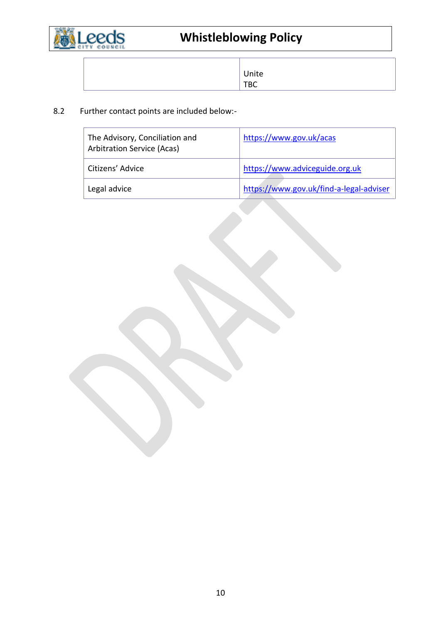

| Unite |
|-------|
| твс   |

# 8.2 Further contact points are included below:-

| The Advisory, Conciliation and<br><b>Arbitration Service (Acas)</b> | https://www.gov.uk/acas                 |
|---------------------------------------------------------------------|-----------------------------------------|
| Citizens' Advice                                                    | https://www.adviceguide.org.uk          |
| Legal advice                                                        | https://www.gov.uk/find-a-legal-adviser |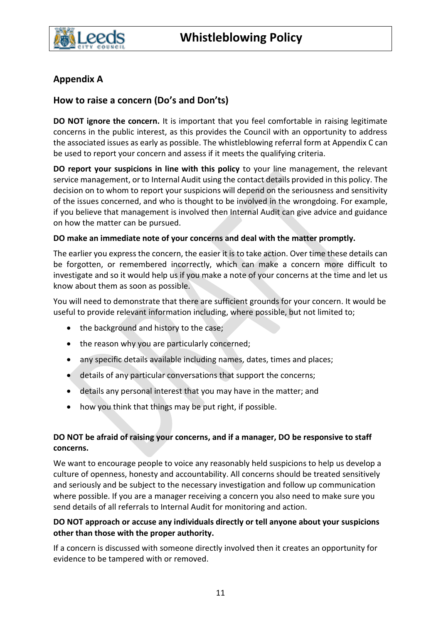

# **Appendix A**

# **How to raise a concern (Do's and Don'ts)**

**DO NOT ignore the concern.** It is important that you feel comfortable in raising legitimate concerns in the public interest, as this provides the Council with an opportunity to address the associated issues as early as possible. The whistleblowing referral form at Appendix C can be used to report your concern and assess if it meets the qualifying criteria.

**DO report your suspicions in line with this policy** to your line management, the relevant service management, or to Internal Audit using the contact details provided in this policy. The decision on to whom to report your suspicions will depend on the seriousness and sensitivity of the issues concerned, and who is thought to be involved in the wrongdoing. For example, if you believe that management is involved then Internal Audit can give advice and guidance on how the matter can be pursued.

#### **DO make an immediate note of your concerns and deal with the matter promptly.**

The earlier you express the concern, the easier it is to take action. Over time these details can be forgotten, or remembered incorrectly, which can make a concern more difficult to investigate and so it would help us if you make a note of your concerns at the time and let us know about them as soon as possible.

You will need to demonstrate that there are sufficient grounds for your concern. It would be useful to provide relevant information including, where possible, but not limited to;

- the background and history to the case;
- the reason why you are particularly concerned;
- any specific details available including names, dates, times and places;
- details of any particular conversations that support the concerns;
- details any personal interest that you may have in the matter; and
- how you think that things may be put right, if possible.

### **DO NOT be afraid of raising your concerns, and if a manager, DO be responsive to staff concerns.**

We want to encourage people to voice any reasonably held suspicions to help us develop a culture of openness, honesty and accountability. All concerns should be treated sensitively and seriously and be subject to the necessary investigation and follow up communication where possible. If you are a manager receiving a concern you also need to make sure you send details of all referrals to Internal Audit for monitoring and action.

#### **DO NOT approach or accuse any individuals directly or tell anyone about your suspicions other than those with the proper authority.**

If a concern is discussed with someone directly involved then it creates an opportunity for evidence to be tampered with or removed.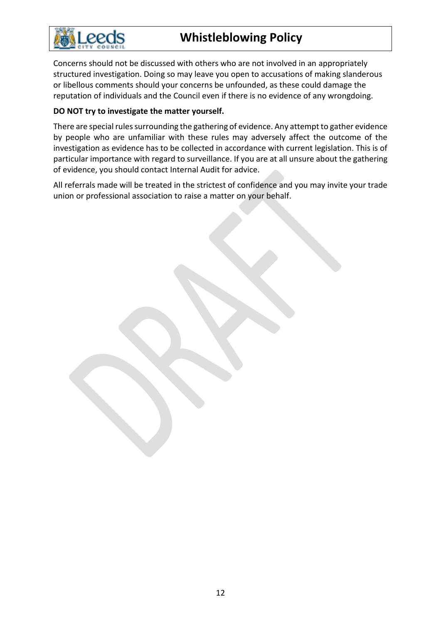

Concerns should not be discussed with others who are not involved in an appropriately structured investigation. Doing so may leave you open to accusations of making slanderous or libellous comments should your concerns be unfounded, as these could damage the reputation of individuals and the Council even if there is no evidence of any wrongdoing.

#### **DO NOT try to investigate the matter yourself.**

There are special rules surrounding the gathering of evidence. Any attempt to gather evidence by people who are unfamiliar with these rules may adversely affect the outcome of the investigation as evidence has to be collected in accordance with current legislation. This is of particular importance with regard to surveillance. If you are at all unsure about the gathering of evidence, you should contact Internal Audit for advice.

All referrals made will be treated in the strictest of confidence and you may invite your trade union or professional association to raise a matter on your behalf.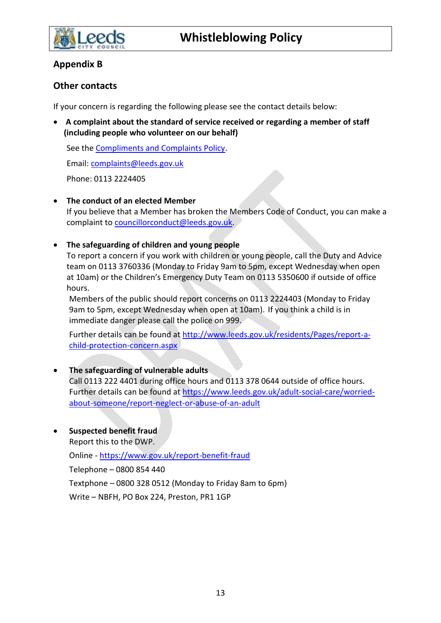

# **Appendix B**

### **Other contacts**

If your concern is regarding the following please see the contact details below:

• **A complaint about the standard of service received or regarding a member of staff (including people who volunteer on our behalf)**

See the [Compliments and Complaints Policy.](https://www.leeds.gov.uk/consultations-and-feedback/compliments-and-complaints-policy)

Email: [complaints@leeds.gov.uk](mailto:complaints@leeds.gov.uk)

Phone: 0113 2224405

• **The conduct of an elected Member**

If you believe that a Member has broken the Members Code of Conduct, you can make a complaint t[o councillorconduct@leeds.gov.uk.](mailto:councillorconduct@leeds.gov.uk)

• **The safeguarding of children and young people**

To report a concern if you work with children or young people, call the Duty and Advice team on 0113 3760336 (Monday to Friday 9am to 5pm, except Wednesday when open at 10am) or the Children's Emergency Duty Team on 0113 5350600 if outside of office hours.

Members of the public should report concerns on 0113 2224403 (Monday to Friday 9am to 5pm, except Wednesday when open at 10am). If you think a child is in immediate danger please call the police on 999.

Further details can be found at [http://www.leeds.gov.uk/residents/Pages/report-a](http://www.leeds.gov.uk/residents/Pages/report-a-child-protection-concern.aspx)[child-protection-concern.aspx](http://www.leeds.gov.uk/residents/Pages/report-a-child-protection-concern.aspx)

### • **The safeguarding of vulnerable adults**

Call 0113 222 4401 during office hours and 0113 378 0644 outside of office hours. Further details can be found at [https://www.leeds.gov.uk/adult-social-care/worried](https://www.leeds.gov.uk/adult-social-care/worried-about-someone/report-neglect-or-abuse-of-an-adult)[about-someone/report-neglect-or-abuse-of-an-adult](https://www.leeds.gov.uk/adult-social-care/worried-about-someone/report-neglect-or-abuse-of-an-adult)

• **Suspected benefit fraud**

Report this to the DWP.

Online - <https://www.gov.uk/report-benefit-fraud>

Telephone – 0800 854 440

Textphone – 0800 328 0512 (Monday to Friday 8am to 6pm)

Write – NBFH, PO Box 224, Preston, PR1 1GP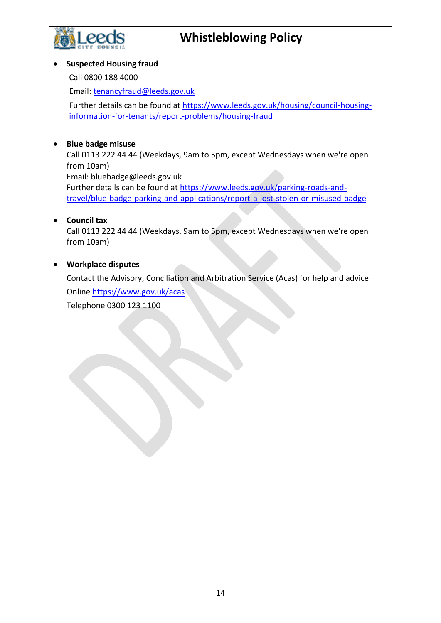

#### • **Suspected Housing fraud**

Call 0800 188 4000

Email: [tenancyfraud@leeds.gov.uk](mailto:tenancyfraud@leeds.gov.uk)

Further details can be found at [https://www.leeds.gov.uk/housing/council-housing](https://www.leeds.gov.uk/housing/council-housing-information-for-tenants/report-problems/housing-fraud)[information-for-tenants/report-problems/housing-fraud](https://www.leeds.gov.uk/housing/council-housing-information-for-tenants/report-problems/housing-fraud)

### • **Blue badge misuse**

Call 0113 222 44 44 (Weekdays, 9am to 5pm, except Wednesdays when we're open from 10am) Email: bluebadge@leeds.gov.uk Further details can be found at [https://www.leeds.gov.uk/parking-roads-and-](https://www.leeds.gov.uk/parking-roads-and-travel/blue-badge-parking-and-applications/report-a-lost-stolen-or-misused-badge)

[travel/blue-badge-parking-and-applications/report-a-lost-stolen-or-misused-badge](https://www.leeds.gov.uk/parking-roads-and-travel/blue-badge-parking-and-applications/report-a-lost-stolen-or-misused-badge)

### • **Council tax**

Call 0113 222 44 44 (Weekdays, 9am to 5pm, except Wednesdays when we're open from 10am)

### • **Workplace disputes**

Contact the Advisory, Conciliation and Arbitration Service (Acas) for help and advice Onlin[e https://www.gov.uk/acas](https://www.gov.uk/acas)

Telephone 0300 123 1100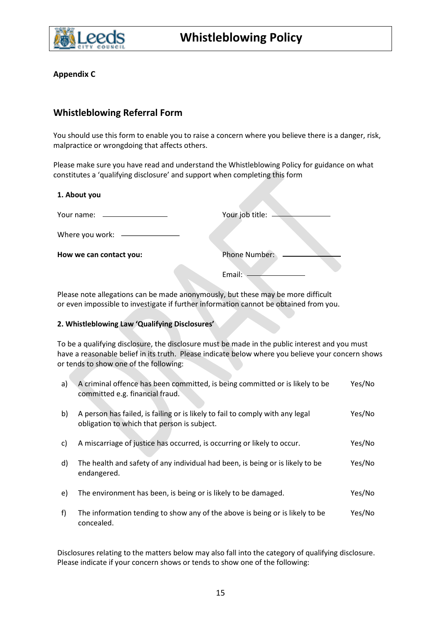

**Appendix C**

# **Whistleblowing Referral Form**

You should use this form to enable you to raise a concern where you believe there is a danger, risk, malpractice or wrongdoing that affects others.

Please make sure you have read and understand the Whistleblowing Policy for guidance on what constitutes a 'qualifying disclosure' and support when completing this form

| 1. About you                  |                      |
|-------------------------------|----------------------|
| Your name: __________________ | Your job title:      |
| Where you work: ———————       |                      |
| How we can contact you:       | <b>Phone Number:</b> |
|                               | Email:               |

Please note allegations can be made anonymously, but these may be more difficult or even impossible to investigate if further information cannot be obtained from you.

#### **2. Whistleblowing Law 'Qualifying Disclosures'**

To be a qualifying disclosure, the disclosure must be made in the public interest and you must have a reasonable belief in its truth. Please indicate below where you believe your concern shows or tends to show one of the following:

| a) | A criminal offence has been committed, is being committed or is likely to be<br>committed e.g. financial fraud.              | Yes/No |
|----|------------------------------------------------------------------------------------------------------------------------------|--------|
| b) | A person has failed, is failing or is likely to fail to comply with any legal<br>obligation to which that person is subject. | Yes/No |
| C) | A miscarriage of justice has occurred, is occurring or likely to occur.                                                      | Yes/No |
| d) | The health and safety of any individual had been, is being or is likely to be<br>endangered.                                 | Yes/No |
| e) | The environment has been, is being or is likely to be damaged.                                                               | Yes/No |
| f  | The information tending to show any of the above is being or is likely to be<br>concealed.                                   | Yes/No |

Disclosures relating to the matters below may also fall into the category of qualifying disclosure. Please indicate if your concern shows or tends to show one of the following: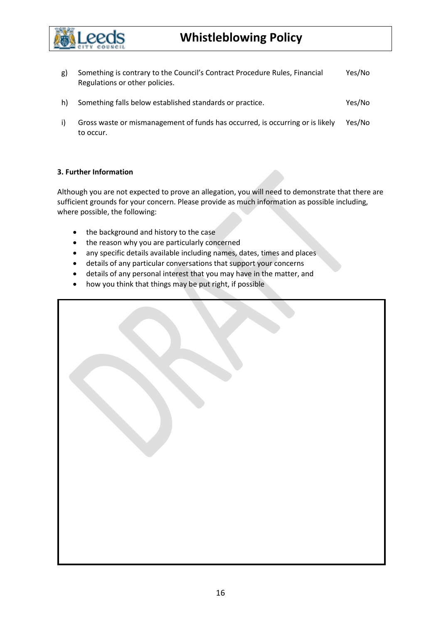

- g) Something is contrary to the Council's Contract Procedure Rules, Financial Regulations or other policies. Yes/No h) Something falls below established standards or practice. Yes/No
- i) Gross waste or mismanagement of funds has occurred, is occurring or is likely to occur. Yes/No

#### **3. Further Information**

Although you are not expected to prove an allegation, you will need to demonstrate that there are sufficient grounds for your concern. Please provide as much information as possible including, where possible, the following:

- the background and history to the case
- the reason why you are particularly concerned
- any specific details available including names, dates, times and places
- details of any particular conversations that support your concerns
- details of any personal interest that you may have in the matter, and
- how you think that things may be put right, if possible